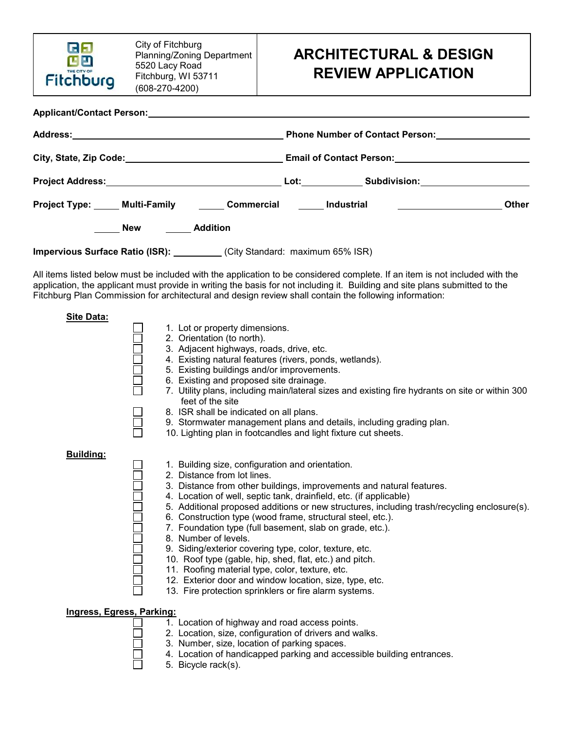

## **ARCHITECTURAL & DESIGN REVIEW APPLICATION**

|                     | Project Type: Multi-Family 1990 Commercial 1990 Industrial 1991 Commercial 1991 Industrial | Other |  |
|---------------------|--------------------------------------------------------------------------------------------|-------|--|
| <b>New Addition</b> |                                                                                            |       |  |
|                     | Impervious Surface Ratio (ISR): __________(City Standard: maximum 65% ISR)                 |       |  |

All items listed below must be included with the application to be considered complete. If an item is not included with the application, the applicant must provide in writing the basis for not including it. Building and site plans submitted to the Fitchburg Plan Commission for architectural and design review shall contain the following information:

| <b>Site Data:</b>                |                                                                                                                     |
|----------------------------------|---------------------------------------------------------------------------------------------------------------------|
|                                  | 1. Lot or property dimensions.                                                                                      |
|                                  | 2. Orientation (to north).                                                                                          |
|                                  | 3. Adjacent highways, roads, drive, etc.                                                                            |
|                                  | 4. Existing natural features (rivers, ponds, wetlands).                                                             |
|                                  | 5. Existing buildings and/or improvements.                                                                          |
|                                  | 6. Existing and proposed site drainage.                                                                             |
|                                  | 7. Utility plans, including main/lateral sizes and existing fire hydrants on site or within 300<br>feet of the site |
|                                  | 8. ISR shall be indicated on all plans.                                                                             |
|                                  | 9. Stormwater management plans and details, including grading plan.                                                 |
|                                  | 10. Lighting plan in footcandles and light fixture cut sheets.                                                      |
| Building:                        |                                                                                                                     |
|                                  | 1. Building size, configuration and orientation.                                                                    |
|                                  | 2. Distance from lot lines.                                                                                         |
|                                  | 3. Distance from other buildings, improvements and natural features.                                                |
|                                  | 4. Location of well, septic tank, drainfield, etc. (if applicable)                                                  |
|                                  | 5. Additional proposed additions or new structures, including trash/recycling enclosure(s).                         |
|                                  | 6. Construction type (wood frame, structural steel, etc.).                                                          |
|                                  | 7. Foundation type (full basement, slab on grade, etc.).                                                            |
|                                  | 8. Number of levels.                                                                                                |
|                                  | 9. Siding/exterior covering type, color, texture, etc.                                                              |
|                                  | 10. Roof type (gable, hip, shed, flat, etc.) and pitch.                                                             |
|                                  | 11. Roofing material type, color, texture, etc.                                                                     |
|                                  | 12. Exterior door and window location, size, type, etc.                                                             |
|                                  | 13. Fire protection sprinklers or fire alarm systems.                                                               |
| <b>Ingress, Egress, Parking:</b> |                                                                                                                     |
|                                  | 1. Location of highway and road access points.                                                                      |
|                                  | 2. Location, size, configuration of drivers and walks.                                                              |

- 3. Number, size, location of parking spaces.
- 4. Location of handicapped parking and accessible building entrances.
- 5. Bicycle rack(s).